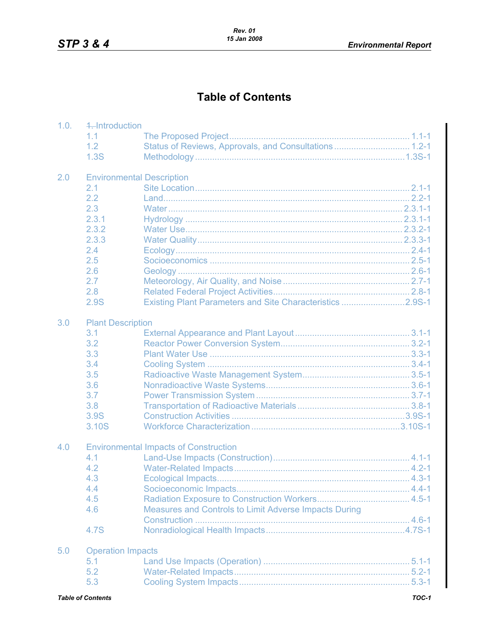## **Table of Contents**

| 1.0. | 4. Introduction<br>1.1           |                                                           |  |  |  |
|------|----------------------------------|-----------------------------------------------------------|--|--|--|
|      | 1.2                              |                                                           |  |  |  |
|      | 1.3S                             | Status of Reviews, Approvals, and Consultations 1.2-1     |  |  |  |
|      |                                  |                                                           |  |  |  |
| 2.0  | <b>Environmental Description</b> |                                                           |  |  |  |
|      | 2.1                              |                                                           |  |  |  |
|      | 2.2                              |                                                           |  |  |  |
|      | 2.3                              |                                                           |  |  |  |
|      | 2.3.1                            |                                                           |  |  |  |
|      | 2.3.2                            |                                                           |  |  |  |
|      | 2.3.3                            |                                                           |  |  |  |
|      | 2.4                              |                                                           |  |  |  |
|      | 2.5                              |                                                           |  |  |  |
|      | 2.6                              |                                                           |  |  |  |
|      | 2.7                              |                                                           |  |  |  |
|      | 2.8                              |                                                           |  |  |  |
|      | 2.9S                             | Existing Plant Parameters and Site Characteristics 2.9S-1 |  |  |  |
| 3.0  | <b>Plant Description</b>         |                                                           |  |  |  |
|      | 3.1                              |                                                           |  |  |  |
|      | 3.2                              |                                                           |  |  |  |
|      | 3.3                              |                                                           |  |  |  |
|      | 3.4                              |                                                           |  |  |  |
|      | 3.5                              |                                                           |  |  |  |
|      | 3.6                              |                                                           |  |  |  |
|      |                                  |                                                           |  |  |  |
|      | 3.7                              |                                                           |  |  |  |
|      | 3.8                              |                                                           |  |  |  |
|      | 3.9S                             |                                                           |  |  |  |
|      | 3.10S                            |                                                           |  |  |  |
| 4.0  |                                  | <b>Environmental Impacts of Construction</b>              |  |  |  |
|      | 4.1                              |                                                           |  |  |  |
|      | 4.2                              |                                                           |  |  |  |
|      | 4.3                              |                                                           |  |  |  |
|      | 4.4                              |                                                           |  |  |  |
|      | 4.5                              |                                                           |  |  |  |
|      | 4.6                              | Measures and Controls to Limit Adverse Impacts During     |  |  |  |
|      |                                  |                                                           |  |  |  |
|      | 4.7S                             |                                                           |  |  |  |
| 5.0  | <b>Operation Impacts</b>         |                                                           |  |  |  |
|      | 5.1                              |                                                           |  |  |  |
|      | 5.2                              |                                                           |  |  |  |
|      | 5.3                              |                                                           |  |  |  |
|      |                                  |                                                           |  |  |  |